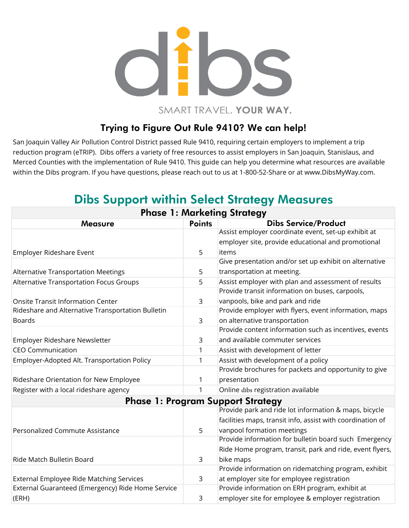

SMART TRAVEL. YOUR WAY.

## Trying to Figure Out Rule 9410? We can help!

San Joaquin Valley Air Pollution Control District passed Rule 9410, requiring certain employers to implement a trip reduction program (eTRIP). Dibs offers a variety of free resources to assist employers in San Joaquin, Stanislaus, and Merced Counties with the implementation of Rule 9410. This guide can help you determine what resources are available within the Dibs program. If you have questions, please reach out to us at 1-800-52-Share or at www.DibsMyWay.com.

| <b>Phase 1: Marketing Strategy</b>                |               |                                                            |  |  |
|---------------------------------------------------|---------------|------------------------------------------------------------|--|--|
| <b>Measure</b>                                    | <b>Points</b> | <b>Dibs Service/Product</b>                                |  |  |
|                                                   |               | Assist employer coordinate event, set-up exhibit at        |  |  |
|                                                   |               | employer site, provide educational and promotional         |  |  |
| Employer Rideshare Event                          | 5             | items                                                      |  |  |
|                                                   |               | Give presentation and/or set up exhibit on alternative     |  |  |
| <b>Alternative Transportation Meetings</b>        | 5             | transportation at meeting.                                 |  |  |
| Alternative Transportation Focus Groups           | 5             | Assist employer with plan and assessment of results        |  |  |
|                                                   |               | Provide transit information on buses, carpools,            |  |  |
| <b>Onsite Transit Information Center</b>          | 3             | vanpools, bike and park and ride                           |  |  |
| Rideshare and Alternative Transportation Bulletin |               | Provide employer with flyers, event information, maps      |  |  |
| <b>Boards</b>                                     | 3             | on alternative transportation                              |  |  |
|                                                   |               | Provide content information such as incentives, events     |  |  |
| Employer Rideshare Newsletter                     | 3             | and available commuter services                            |  |  |
| <b>CEO Communication</b>                          | 1             | Assist with development of letter                          |  |  |
| Employer-Adopted Alt. Transportation Policy       | 1             | Assist with development of a policy                        |  |  |
|                                                   |               | Provide brochures for packets and opportunity to give      |  |  |
| Rideshare Orientation for New Employee            |               | presentation                                               |  |  |
| Register with a local rideshare agency            |               | Online dibs registration available                         |  |  |
| <b>Phase 1: Program Support Strategy</b>          |               |                                                            |  |  |
|                                                   |               | Provide park and ride lot information & maps, bicycle      |  |  |
|                                                   |               | facilities maps, transit info, assist with coordination of |  |  |
| Personalized Commute Assistance                   | 5             | vanpool formation meetings                                 |  |  |
|                                                   |               | Provide information for bulletin board such Emergency      |  |  |
|                                                   |               | Ride Home program, transit, park and ride, event flyers,   |  |  |
| Ride Match Bulletin Board                         | 3             | bike maps                                                  |  |  |
|                                                   |               | Provide information on ridematching program, exhibit       |  |  |
| <b>External Employee Ride Matching Services</b>   | 3             | at employer site for employee registration                 |  |  |
| External Guaranteed (Emergency) Ride Home Service |               | Provide information on ERH program, exhibit at             |  |  |
| (ERH)                                             | 3             | employer site for employee & employer registration         |  |  |
|                                                   |               |                                                            |  |  |

## Dibs Support within Select Strategy Measures